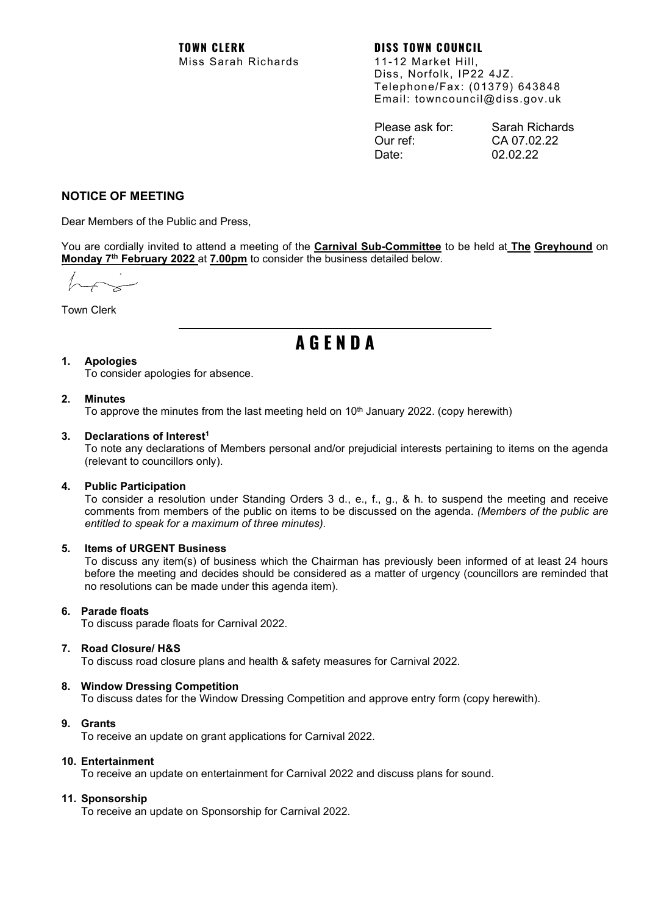Diss, Norfolk, IP22 4JZ. Telephone/Fax: (01379) 643848 Email: towncouncil@diss.gov.uk

| Please ask for: | Sarah Richards |
|-----------------|----------------|
| Our ref:        | CA 07.02.22    |
| Date:           | 02.02.22       |

# **NOTICE OF MEETING**

Dear Members of the Public and Press,

You are cordially invited to attend a meeting of the **Carnival Sub-Committee** to be held at **The Greyhound** on **Monday 7th February 2022** at **7.00pm** to consider the business detailed below.

Town Clerk

# **A G E N D A**

# **1. Apologies**

To consider apologies for absence.

## **2. Minutes**

To approve the minutes from the last meeting held on  $10<sup>th</sup>$  January 2022. (copy herewith)

#### **3. Declarations of Interest1**

To note any declarations of Members personal and/or prejudicial interests pertaining to items on the agenda (relevant to councillors only).

#### **4. Public Participation**

To consider a resolution under Standing Orders 3 d., e., f., g., & h. to suspend the meeting and receive comments from members of the public on items to be discussed on the agenda. *(Members of the public are entitled to speak for a maximum of three minutes).*

#### **5. Items of URGENT Business**

To discuss any item(s) of business which the Chairman has previously been informed of at least 24 hours before the meeting and decides should be considered as a matter of urgency (councillors are reminded that no resolutions can be made under this agenda item).

# **6. Parade floats**

To discuss parade floats for Carnival 2022.

# **7. Road Closure/ H&S**

To discuss road closure plans and health & safety measures for Carnival 2022.

# **8. Window Dressing Competition**

To discuss dates for the Window Dressing Competition and approve entry form (copy herewith).

# **9. Grants**

To receive an update on grant applications for Carnival 2022.

#### **10. Entertainment**

To receive an update on entertainment for Carnival 2022 and discuss plans for sound.

# **11. Sponsorship**

To receive an update on Sponsorship for Carnival 2022.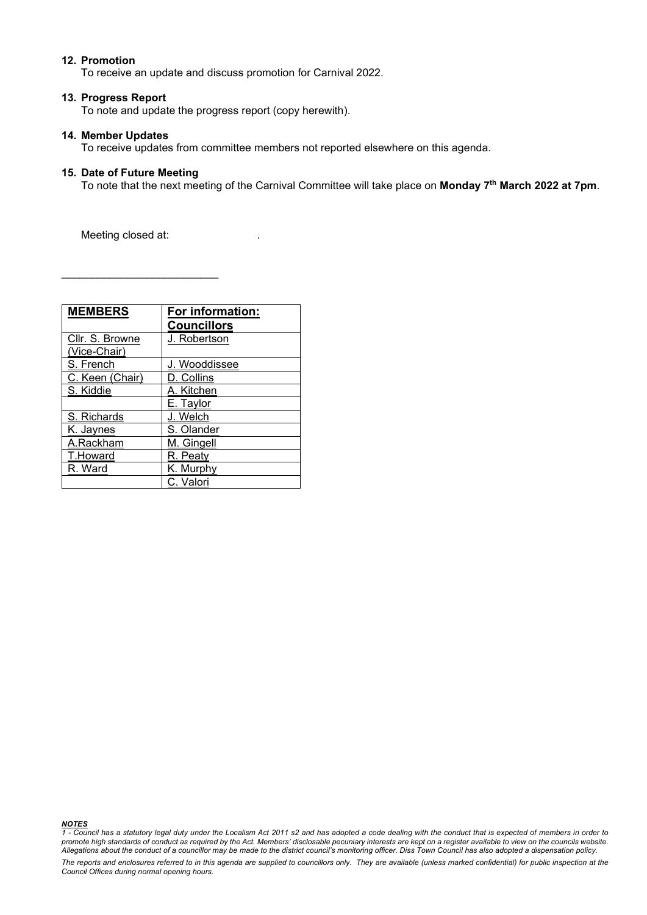## **12. Promotion**

To receive an update and discuss promotion for Carnival 2022.

#### **13. Progress Report**

To note and update the progress report (copy herewith).

#### **14. Member Updates**

To receive updates from committee members not reported elsewhere on this agenda.

#### **15. Date of Future Meeting**

To note that the next meeting of the Carnival Committee will take place on **Monday 7th March 2022 at 7pm**.

Meeting closed at:

\_\_\_\_\_\_\_\_\_\_\_\_\_\_\_\_\_\_\_\_\_\_\_\_\_\_

| <b>MEMBERS</b>                  | For information:<br><b>Councillors</b> |
|---------------------------------|----------------------------------------|
| Cllr. S. Browne<br>(Vice-Chair) | J. Robertson                           |
| S. French                       | J. Wooddissee                          |
| C. Keen (Chair)                 | D. Collins                             |
| S. Kiddie                       | A. Kitchen                             |
|                                 | E. Taylor                              |
| S. Richards                     | J. Welch                               |
| K. Jaynes                       | S. Olander                             |
| A.Rackham                       | M. Gingell                             |
| T.Howard                        | R. Peaty                               |
| R. Ward                         | K. Murphy                              |
|                                 | C. Valori                              |

*NOTES 1 - Council has a statutory legal duty under the Localism Act 2011 s2 and has adopted a code dealing with the conduct that is expected of members in order to promote high standards of conduct as required by the Act. Members' disclosable pecuniary interests are kept on a register available to view on the councils website. Allegations about the conduct of a councillor may be made to the district council's monitoring officer. Diss Town Council has also adopted a dispensation policy.*

*The reports and enclosures referred to in this agenda are supplied to councillors only. They are available (unless marked confidential) for public inspection at the Council Offices during normal opening hours.*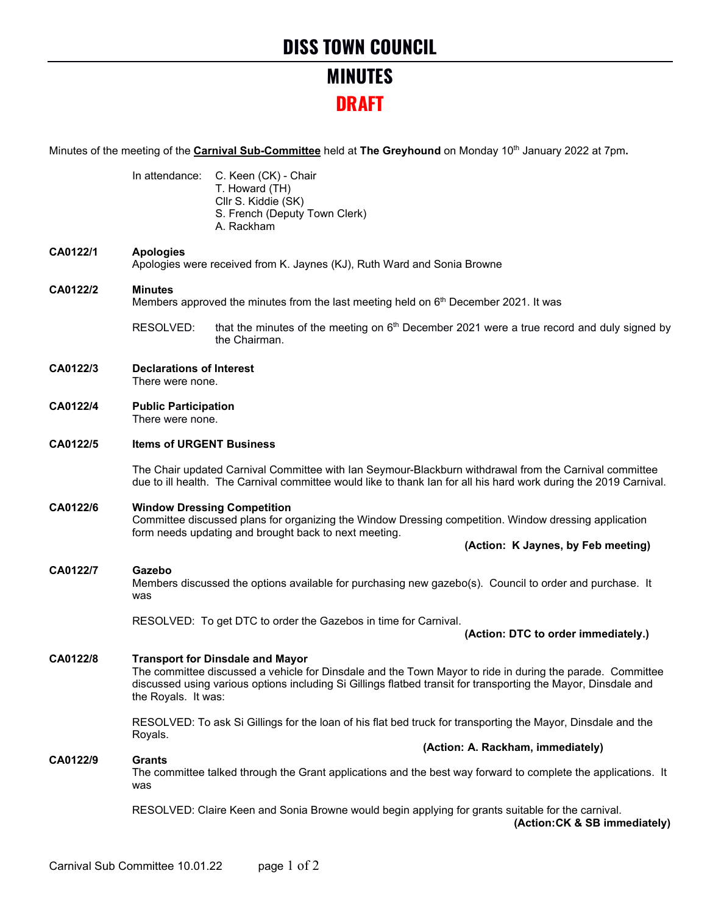# **MINUTES DRAFT**

Minutes of the meeting of the **Carnival Sub-Committee** held at **The Greyhound** on Monday 10th January 2022 at 7pm**.**

|          |                                                                                                                    | In attendance: C. Keen (CK) - Chair<br>T. Howard (TH)<br>Cllr S. Kiddie (SK)<br>S. French (Deputy Town Clerk)<br>A. Rackham                                                                                                                                            |  |                                   |                                     |
|----------|--------------------------------------------------------------------------------------------------------------------|------------------------------------------------------------------------------------------------------------------------------------------------------------------------------------------------------------------------------------------------------------------------|--|-----------------------------------|-------------------------------------|
| CA0122/1 | <b>Apologies</b>                                                                                                   | Apologies were received from K. Jaynes (KJ), Ruth Ward and Sonia Browne                                                                                                                                                                                                |  |                                   |                                     |
| CA0122/2 | <b>Minutes</b><br>Members approved the minutes from the last meeting held on 6 <sup>th</sup> December 2021. It was |                                                                                                                                                                                                                                                                        |  |                                   |                                     |
|          | RESOLVED:                                                                                                          | that the minutes of the meeting on 6 <sup>th</sup> December 2021 were a true record and duly signed by<br>the Chairman.                                                                                                                                                |  |                                   |                                     |
| CA0122/3 | <b>Declarations of Interest</b><br>There were none.                                                                |                                                                                                                                                                                                                                                                        |  |                                   |                                     |
| CA0122/4 | <b>Public Participation</b><br>There were none.                                                                    |                                                                                                                                                                                                                                                                        |  |                                   |                                     |
| CA0122/5 | <b>Items of URGENT Business</b>                                                                                    |                                                                                                                                                                                                                                                                        |  |                                   |                                     |
|          |                                                                                                                    | The Chair updated Carnival Committee with Ian Seymour-Blackburn withdrawal from the Carnival committee<br>due to ill health. The Carnival committee would like to thank Ian for all his hard work during the 2019 Carnival.                                            |  |                                   |                                     |
| CA0122/6 |                                                                                                                    | <b>Window Dressing Competition</b><br>Committee discussed plans for organizing the Window Dressing competition. Window dressing application<br>form needs updating and brought back to next meeting.                                                                   |  |                                   |                                     |
|          |                                                                                                                    |                                                                                                                                                                                                                                                                        |  |                                   | (Action: K Jaynes, by Feb meeting)  |
| CA0122/7 | Gazebo<br>was                                                                                                      | Members discussed the options available for purchasing new gazebo(s). Council to order and purchase. It                                                                                                                                                                |  |                                   |                                     |
|          |                                                                                                                    | RESOLVED: To get DTC to order the Gazebos in time for Carnival.                                                                                                                                                                                                        |  |                                   | (Action: DTC to order immediately.) |
| CA0122/8 | the Royals. It was:                                                                                                | <b>Transport for Dinsdale and Mayor</b><br>The committee discussed a vehicle for Dinsdale and the Town Mayor to ride in during the parade. Committee<br>discussed using various options including Si Gillings flatbed transit for transporting the Mayor, Dinsdale and |  |                                   |                                     |
|          |                                                                                                                    | RESOLVED: To ask Si Gillings for the loan of his flat bed truck for transporting the Mayor, Dinsdale and the                                                                                                                                                           |  |                                   |                                     |
|          | Royals.                                                                                                            |                                                                                                                                                                                                                                                                        |  | (Action: A. Rackham, immediately) |                                     |
| CA0122/9 | <b>Grants</b><br>was                                                                                               | The committee talked through the Grant applications and the best way forward to complete the applications. It                                                                                                                                                          |  |                                   |                                     |
|          |                                                                                                                    | RESOLVED: Claire Keen and Sonia Browne would begin applying for grants suitable for the carnival.                                                                                                                                                                      |  |                                   | (Action: CK & SB immediately)       |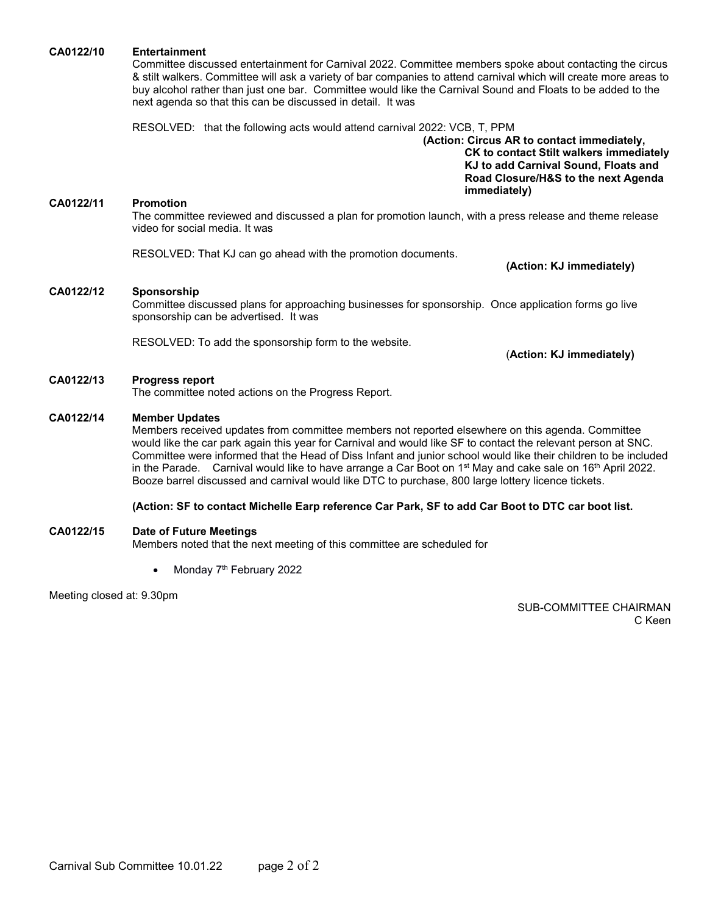#### **CA0122/10 Entertainment**

Committee discussed entertainment for Carnival 2022. Committee members spoke about contacting the circus & stilt walkers. Committee will ask a variety of bar companies to attend carnival which will create more areas to buy alcohol rather than just one bar. Committee would like the Carnival Sound and Floats to be added to the next agenda so that this can be discussed in detail. It was

RESOLVED: that the following acts would attend carnival 2022: VCB, T, PPM

**(Action: Circus AR to contact immediately, CK to contact Stilt walkers immediately KJ to add Carnival Sound, Floats and Road Closure/H&S to the next Agenda immediately)**

#### **CA0122/11 Promotion**

The committee reviewed and discussed a plan for promotion launch, with a press release and theme release video for social media. It was

RESOLVED: That KJ can go ahead with the promotion documents.

**(Action: KJ immediately)**

#### **CA0122/12 Sponsorship**

Committee discussed plans for approaching businesses for sponsorship. Once application forms go live sponsorship can be advertised. It was

RESOLVED: To add the sponsorship form to the website.

(**Action: KJ immediately)**

#### **CA0122/13 Progress report**

The committee noted actions on the Progress Report.

#### **CA0122/14 Member Updates**

Members received updates from committee members not reported elsewhere on this agenda. Committee would like the car park again this year for Carnival and would like SF to contact the relevant person at SNC. Committee were informed that the Head of Diss Infant and junior school would like their children to be included in the Parade. Carnival would like to have arrange a Car Boot on  $1<sup>st</sup>$  May and cake sale on  $16<sup>th</sup>$  April 2022. Booze barrel discussed and carnival would like DTC to purchase, 800 large lottery licence tickets.

#### **(Action: SF to contact Michelle Earp reference Car Park, SF to add Car Boot to DTC car boot list.**

#### **CA0122/15 Date of Future Meetings**

Members noted that the next meeting of this committee are scheduled for

• Monday  $7<sup>th</sup>$  February 2022

Meeting closed at: 9.30pm

SUB-COMMITTEE CHAIRMAN C Keen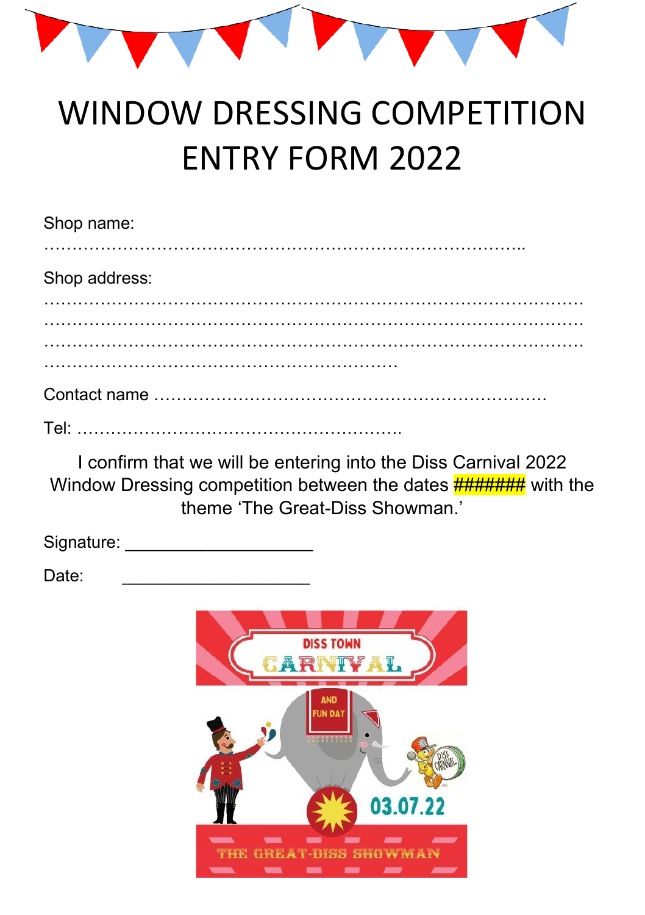

# WINDOW DRESSING COMPETITION ENTRY FORM 2022

| Shop name:    |  |  |
|---------------|--|--|
| Shop address: |  |  |
|               |  |  |
|               |  |  |
|               |  |  |

I confirm that we will be entering into the Diss Carnival 2022 Window Dressing competition between the dates **########** with the theme 'The Great-Diss Showman.'

| Signature: |  |
|------------|--|
|            |  |

Date:

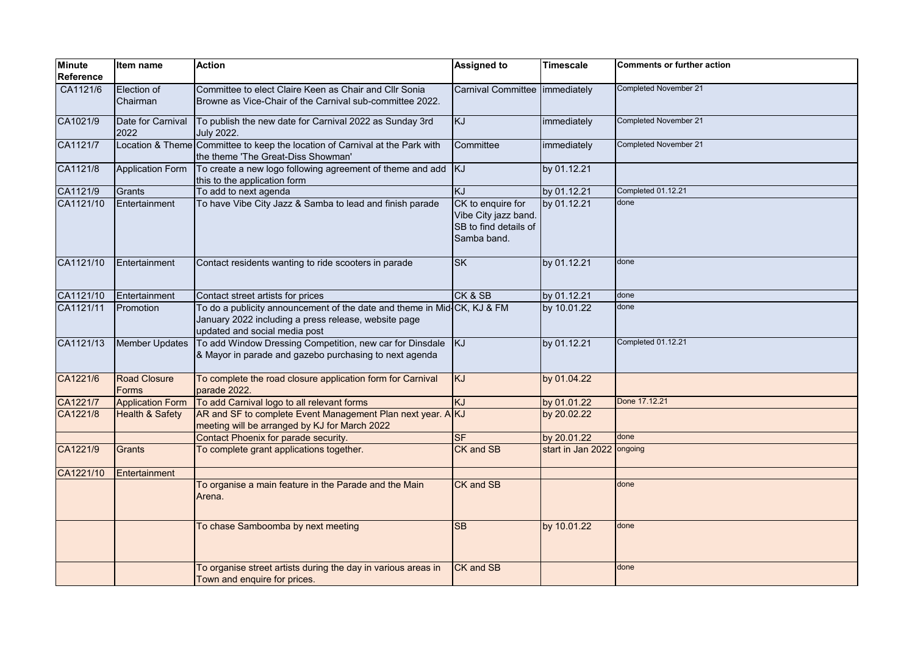| <b>Minute</b><br><b>Reference</b> | Item name                    | <b>Action</b>                                                                                                                                                    | <b>Assigned to</b>                                                                | <b>Timescale</b>  | <b>Comments or further action</b> |
|-----------------------------------|------------------------------|------------------------------------------------------------------------------------------------------------------------------------------------------------------|-----------------------------------------------------------------------------------|-------------------|-----------------------------------|
| CA1121/6                          | Election of<br>Chairman      | Committee to elect Claire Keen as Chair and Cllr Sonia<br>Browne as Vice-Chair of the Carnival sub-committee 2022.                                               | Carnival Committee                                                                | immediately       | Completed November 21             |
| CA1021/9                          | Date for Carnival<br>2022    | To publish the new date for Carnival 2022 as Sunday 3rd<br><b>July 2022.</b>                                                                                     | KJ                                                                                | immediately       | Completed November 21             |
| CA1121/7                          |                              | Location & Theme Committee to keep the location of Carnival at the Park with<br>the theme 'The Great-Diss Showman'                                               | Committee                                                                         | immediately       | Completed November 21             |
| CA1121/8                          | <b>Application Form</b>      | To create a new logo following agreement of theme and add<br>this to the application form                                                                        | KJ.                                                                               | by 01.12.21       |                                   |
| CA1121/9                          | Grants                       | To add to next agenda                                                                                                                                            | KJ                                                                                | by 01.12.21       | Completed 01.12.21                |
| CA1121/10                         | Entertainment                | To have Vibe City Jazz & Samba to lead and finish parade                                                                                                         | CK to enquire for<br>Vibe City jazz band.<br>SB to find details of<br>Samba band. | by 01.12.21       | done                              |
| CA1121/10                         | Entertainment                | Contact residents wanting to ride scooters in parade                                                                                                             | <b>SK</b>                                                                         | by 01.12.21       | done                              |
| CA1121/10                         | Entertainment                | Contact street artists for prices                                                                                                                                | CK & SB                                                                           | by 01.12.21       | done                              |
| CA1121/11                         | Promotion                    | To do a publicity announcement of the date and theme in Mid-CK, KJ & FM<br>January 2022 including a press release, website page<br>updated and social media post |                                                                                   | by 10.01.22       | done                              |
| CA1121/13                         | Member Updates               | To add Window Dressing Competition, new car for Dinsdale<br>& Mayor in parade and gazebo purchasing to next agenda                                               | KJ                                                                                | by 01.12.21       | Completed 01.12.21                |
| CA1221/6                          | <b>Road Closure</b><br>Forms | To complete the road closure application form for Carnival<br>parade 2022.                                                                                       | KJ                                                                                | by 01.04.22       |                                   |
| CA1221/7                          | <b>Application Form</b>      | To add Carnival logo to all relevant forms                                                                                                                       | KJ                                                                                | by 01.01.22       | Done 17.12.21                     |
| CA1221/8                          | <b>Health &amp; Safety</b>   | AR and SF to complete Event Management Plan next year. A KJ<br>meeting will be arranged by KJ for March 2022                                                     |                                                                                   | by 20.02.22       |                                   |
|                                   |                              | Contact Phoenix for parade security.                                                                                                                             | $S$ F                                                                             | by 20.01.22       | done                              |
| CA1221/9                          | Grants                       | To complete grant applications together.                                                                                                                         | CK and SB                                                                         | start in Jan 2022 | ongoing                           |
| CA1221/10                         | Entertainment                |                                                                                                                                                                  |                                                                                   |                   |                                   |
|                                   |                              | To organise a main feature in the Parade and the Main<br>Arena.                                                                                                  | CK and SB                                                                         |                   | done                              |
|                                   |                              | To chase Samboomba by next meeting                                                                                                                               | <b>SB</b>                                                                         | by 10.01.22       | done                              |
|                                   |                              | To organise street artists during the day in various areas in<br>Town and enquire for prices.                                                                    | CK and SB                                                                         |                   | done                              |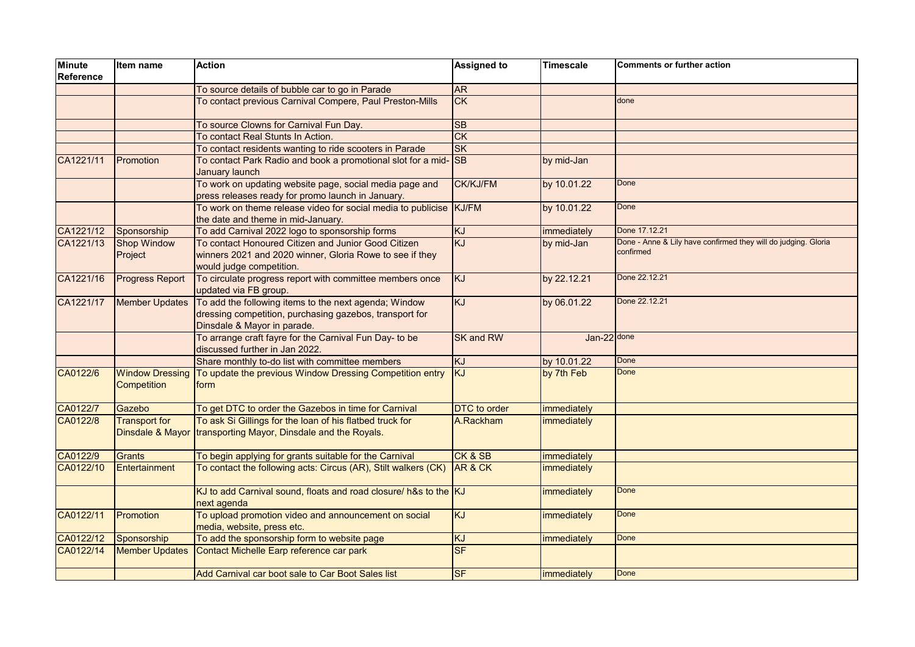| Minute<br>Reference | Item name                             | <b>Action</b>                                                                                                                                   | <b>Assigned to</b>                | <b>Timescale</b>   | <b>Comments or further action</b>                                           |
|---------------------|---------------------------------------|-------------------------------------------------------------------------------------------------------------------------------------------------|-----------------------------------|--------------------|-----------------------------------------------------------------------------|
|                     |                                       | To source details of bubble car to go in Parade                                                                                                 | <b>AR</b>                         |                    |                                                                             |
|                     |                                       | To contact previous Carnival Compere, Paul Preston-Mills                                                                                        | CK                                |                    | done                                                                        |
|                     |                                       | To source Clowns for Carnival Fun Day.                                                                                                          | <b>SB</b>                         |                    |                                                                             |
|                     |                                       | To contact Real Stunts In Action.                                                                                                               | CK                                |                    |                                                                             |
|                     |                                       | To contact residents wanting to ride scooters in Parade                                                                                         | <b>SK</b>                         |                    |                                                                             |
| CA1221/11           | Promotion                             | To contact Park Radio and book a promotional slot for a mid- SB<br>January launch                                                               |                                   | by mid-Jan         |                                                                             |
|                     |                                       | To work on updating website page, social media page and<br>press releases ready for promo launch in January.                                    | <b>CK/KJ/FM</b>                   | by 10.01.22        | Done                                                                        |
|                     |                                       | To work on theme release video for social media to publicise KJ/FM<br>the date and theme in mid-January.                                        |                                   | by 10.01.22        | Done                                                                        |
| CA1221/12           | Sponsorship                           | To add Carnival 2022 logo to sponsorship forms                                                                                                  | KJ                                | immediately        | Done 17.12.21                                                               |
| CA1221/13           | <b>Shop Window</b><br>Project         | To contact Honoured Citizen and Junior Good Citizen<br>winners 2021 and 2020 winner, Gloria Rowe to see if they<br>would judge competition.     | KJ                                | by mid-Jan         | Done - Anne & Lily have confirmed they will do judging. Gloria<br>confirmed |
| CA1221/16           | <b>Progress Report</b>                | To circulate progress report with committee members once<br>updated via FB group.                                                               | KJ                                | by 22.12.21        | Done 22.12.21                                                               |
| CA1221/17           | <b>Member Updates</b>                 | To add the following items to the next agenda; Window<br>dressing competition, purchasing gazebos, transport for<br>Dinsdale & Mayor in parade. | KJ                                | by 06.01.22        | Done 22.12.21                                                               |
|                     |                                       | To arrange craft fayre for the Carnival Fun Day- to be<br>discussed further in Jan 2022.                                                        | <b>SK and RW</b>                  | $Jan-22$ done      |                                                                             |
|                     |                                       | Share monthly to-do list with committee members                                                                                                 | KJ                                | by 10.01.22        | Done                                                                        |
| CA0122/6            | <b>Window Dressing</b><br>Competition | To update the previous Window Dressing Competition entry<br>form                                                                                | <b>KJ</b>                         | by 7th Feb         | <b>Done</b>                                                                 |
| CA0122/7            | Gazebo                                | To get DTC to order the Gazebos in time for Carnival                                                                                            | <b>DTC</b> to order               | immediately        |                                                                             |
| CA0122/8            | <b>Transport for</b>                  | To ask Si Gillings for the loan of his flatbed truck for<br>Dinsdale & Mayor transporting Mayor, Dinsdale and the Royals.                       | A.Rackham                         | <b>immediately</b> |                                                                             |
| CA0122/9            | Grants                                | To begin applying for grants suitable for the Carnival                                                                                          | CK & SB                           | immediately        |                                                                             |
| CA0122/10           | Entertainment                         | To contact the following acts: Circus (AR), Stilt walkers (CK)                                                                                  | AR & CK                           | immediately        |                                                                             |
|                     |                                       | KJ to add Carnival sound, floats and road closure/ h&s to the KJ<br>next agenda                                                                 |                                   | immediately        | Done                                                                        |
| CA0122/11           | Promotion                             | To upload promotion video and announcement on social<br>media, website, press etc.                                                              | KJ                                | immediately        | Done                                                                        |
| CA0122/12           | Sponsorship                           | To add the sponsorship form to website page                                                                                                     | KJ                                | immediately        | <b>Done</b>                                                                 |
| CA0122/14           | Member Updates                        | Contact Michelle Earp reference car park                                                                                                        | <b>SF</b>                         |                    |                                                                             |
|                     |                                       | Add Carnival car boot sale to Car Boot Sales list                                                                                               | $\overline{\mathsf{S}\mathsf{F}}$ | immediately        | <b>Done</b>                                                                 |